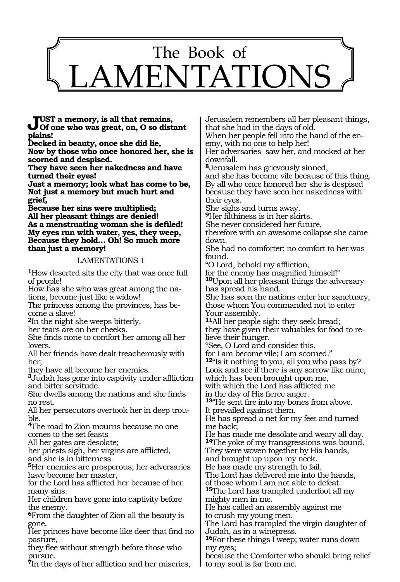

**Just a memory, is all that remains, Of one who was great, on, O so distant plains!**

**Decked in beauty, once she did lie, Now by those who once honored her, she is scorned and despised.**

**They have seen her nakedness and have turned their eyes!**

**Just a memory; look what has come to be, Not just a memory but much hurt and grief,** 

**Because her sins were multiplied; All her pleasant things are denied! As a menstruating woman she is defiled! My eyes run with water, yes, they weep, Because they hold… Oh! So much more than just a memory!**

#### LAMENTATIONS 1

**<sup>1</sup>**How deserted sits the city that was once full of people!

How has she who was great among the nations, become just like a widow!

The princess among the provinces, has become a slave!

**<sup>2</sup>**In the night she weeps bitterly,

her tears are on her cheeks.

She finds none to comfort her among all her lovers.

All her friends have dealt treacherously with her;

they have all become her enemies.

**<sup>3</sup>**Judah has gone into captivity under affliction and bitter servitude.

She dwells among the nations and she finds no rest.

All her persecutors overtook her in deep trouble.

**<sup>4</sup>**The road to Zion mourns because no one comes to the set feasts

All her gates are desolate;

her priests sigh, her virgins are afflicted, and she is in bitterness.

**<sup>5</sup>**Her enemies are prosperous; her adversaries have become her master,

for the Lord has afflicted her because of her many sins.

Her children have gone into captivity before the enemy.

**<sup>6</sup>**From the daughter of Zion all the beauty is gone.

Her princes have become like deer that find no pasture,

they flee without strength before those who pursue.

**<sup>7</sup>**In the days of her affliction and her miseries,

Jerusalem remembers all her pleasant things, that she had in the days of old.

When her people fell into the hand of the en-<br>emy, with no one to help her!

Her adversaries saw her, and mocked at her downfall.

**<sup>8</sup>**Jerusalem has grievously sinned,

and she has become vile because of this thing. By all who once honored her she is despised because they have seen her nakedness with their eyes.

She sighs and turns away.

**<sup>9</sup>**Her filthiness is in her skirts.

She never considered her future,

therefore with an awesome collapse she came down.

She had no comforter; no comfort to her was found.

"O Lord, behold my affliction,

for the enemy has magnified himself!" **<sup>10</sup>**Upon all her pleasant things the adversary has spread his hand.

She has seen the nations enter her sanctuary, those whom You commanded not to enter Your assembly.

**<sup>11</sup>**All her people sigh; they seek bread; they have given their valuables for food to relieve their hunger.

"See, O Lord and consider this,

for I am become vile; I am scorned."

**<sup>12</sup>**"Is it nothing to you, all you who pass by?

Look and see if there is any sorrow like mine,

which has been brought upon me,

with which the Lord has afflicted me

in the day of His fierce anger.

**<sup>13</sup>**"He sent fire into my bones from above. It prevailed against them.

He has spread a net for my feet and turned me back;

He has made me desolate and weary all day. **<sup>14</sup>**The yoke of my transgressions was bound.

They were woven together by His hands,

and brought up upon my neck. He has made my strength to fail.

The Lord has delivered me into the hands,

of those whom I am not able to defeat. **<sup>15</sup>**The Lord has trampled underfoot all my

mighty men in me.

He has called an assembly against me to crush my young men.

The Lord has trampled the virgin daughter of Judah, as in a winepress.

**<sup>16</sup>**For these things I weep; water runs down my eyes;

because the Comforter who should bring relief to my soul is far from me.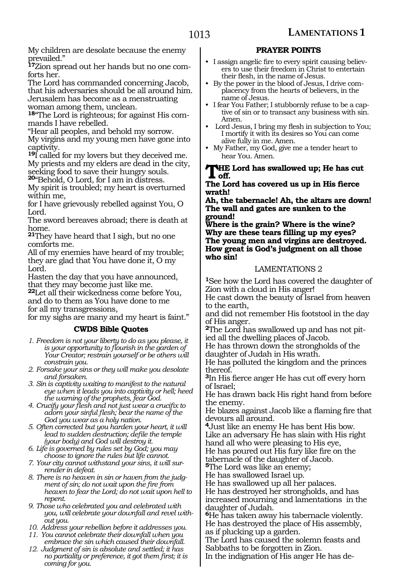My children are desolate because the enemy prevailed."

**17**Zion spread out her hands but no one comforts her.

The Lord has commanded concerning Jacob, that his adversaries should be all around him. Jerusalem has become as a menstruating woman among them, unclean.

**18**"The Lord is righteous; for against His commands I have rebelled.

"Hear all peoples, and behold my sorrow.

My virgins and my young men have gone into captivity.

**<sup>19</sup>**I called for my lovers but they deceived me. My priests and my elders are dead in the city, seeking food to save their hungry souls. **<sup>20</sup>**"Behold, O Lord, for I am in distress.

My spirit is troubled; my heart is overturned within me,

for I have grievously rebelled against You, O Lord.

The sword bereaves abroad; there is death at home.

**<sup>21</sup>**They have heard that I sigh, but no one comforts me.

All of my enemies have heard of my trouble; they are glad that You have done it, O my Lord.

Hasten the day that you have announced, that they may become just like me.

**<sup>22</sup>**Let all their wickedness come before You, and do to them as You have done to me for all my transgressions,

for my sighs are many and my heart is faint."

## **CWDS Bible Quotes**

- *1. Freedom is not your liberty to do as you please, it is your opportunity to flourish in the garden of Your Creator; restrain yourself or be others will constrain you.*
- *2. Forsake your sins or they will make you desolate and forsaken.*
- *3. Sin is captivity waiting to manifest to the natural eye when it leads you into captivity or hell; heed the warning of the prophets, fear God.*

*4. Crucify your flesh and not just wear a crucifix to adorn your sinful flesh; bear the name of the God you wear as a holy nation.*

*5. Often corrected but you harden your heart, it will lead to sudden destruction; defile the temple (your body) and God will destroy it.*

- *6. Life is governed by rules set by God; you may choose to ignore the rules but life cannot.*
- *7. Your city cannot withstand your sins, it will surrender in defeat.*

*8. There is no heaven in sin or haven from the judgment of sin; do not wait upon the fire from heaven to fear the Lord; do not wait upon hell to repent.*

*9. Those who celebrated you and celebrated with you, will celebrate your downfall and revel without you.*

*10. Address your rebellion before it addresses you.* 

- *11. You cannot celebrate their downfall when you embrace the sin which caused their downfall.*
- *12. Judgment of sin is absolute and settled; it has no partiality or preference, it got them first; it is coming for you.*

## **PRAYER POINTS**

- I assign angelic fire to every spirit causing believers to use their freedom in Christ to entertain their flesh, in the name of Jesus.
- By the power in the blood of Jesus, I drive complacency from the hearts of believers, in the name of Jesus.
- I fear You Father; I stubbornly refuse to be a captive of sin or to transact any business with sin. Amen.
- Lord Jesus, I bring my flesh in subjection to You; I mortify it with its desires so You can come alive fully in me. Amen.
- My Father, my God, give me a tender heart to hear You. Amen.

# **THE Lord has swallowed up; He has cut**<br>
The Lard has assumed us yn in Hie Game.

#### **The Lord has covered us up in His fierce wrath!**

**Ah, the tabernacle! Ah, the altars are down! The wall and gates are sunken to the ground!**

**Where is the grain? Where is the wine? Why are these tears filling up my eyes? The young men and virgins are destroyed. How great is God's judgment on all those who sin!**

### LAMENTATIONS 2

**<sup>1</sup>**See how the Lord has covered the daughter of Zion with a cloud in His anger!

He cast down the beauty of Israel from heaven to the earth,

and did not remember His footstool in the day of His anger.

**<sup>2</sup>**The Lord has swallowed up and has not pit- ied all the dwelling places of Jacob.

He has thrown down the strongholds of the daughter of Judah in His wrath.

He has polluted the kingdom and the princes thereof.

**<sup>3</sup>**In His fierce anger He has cut off every horn of Israel;

He has drawn back His right hand from before the enemy.

He blazes against Jacob like a flaming fire that devours all around.

**<sup>4</sup>**Just like an enemy He has bent His bow. Like an adversary He has slain with His right hand all who were pleasing to His eye, He has poured out His fury like fire on the tabernacle of the daughter of Jacob.

**<sup>5</sup>**The Lord was like an enemy;

He has swallowed Israel up.

He has swallowed up all her palaces.

He has destroyed her strongholds, and has increased mourning and lamentations in the daughter of Judah.

**<sup>6</sup>**He has taken away his tabernacle violently. He has destroyed the place of His assembly, as if plucking up a garden.

The Lord has caused the solemn feasts and Sabbaths to be forgotten in Zion.

In the indignation of His anger He has de-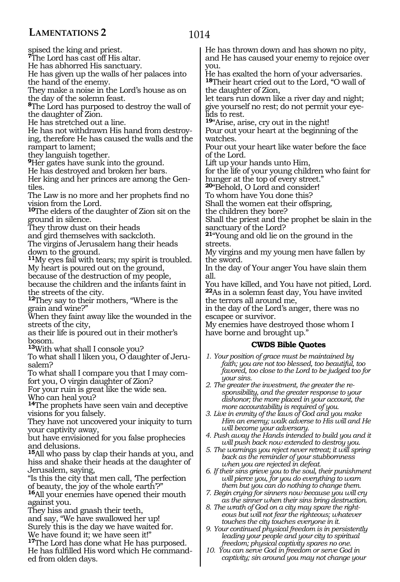# **LAMENTATIONS 2**

spised the king and priest. **<sup>7</sup>**The Lord has cast off His altar. He has abhorred His sanctuary. He has given up the walls of her palaces into the hand of the enemy.

They make a noise in the Lord's house as on the day of the solemn feast.

**<sup>8</sup>**The Lord has purposed to destroy the wall of the daughter of Zion.

He has stretched out a line.

He has not withdrawn His hand from destroying, therefore He has caused the walls and the rampart to lament;

they languish together.

**<sup>9</sup>**Her gates have sunk into the ground.

He has destroyed and broken her bars.

Her king and her princes are among the Gentiles.

The Law is no more and her prophets find no vision from the Lord.

**<sup>10</sup>**The elders of the daughter of Zion sit on the ground in silence.

They throw dust on their heads

and gird themselves with sackcloth.

The virgins of Jerusalem hang their heads down to the ground.

**<sup>11</sup>**My eyes fail with tears; my spirit is troubled. My heart is poured out on the ground,

because of the destruction of my people,

because the children and the infants faint in the streets of the city.

**<sup>12</sup>**They say to their mothers, "Where is the grain and wine?"

When they faint away like the wounded in the streets of the city,

as their life is poured out in their mother's bosom.

**<sup>13</sup>**With what shall I console you?

To what shall I liken you, O daughter of Jeru- salem?

To what shall I compare you that I may com- fort you, O virgin daughter of Zion?

For your ruin is great like the wide sea. Who can heal you?

**<sup>14</sup>**The prophets have seen vain and deceptive visions for you falsely.

They have not uncovered your iniquity to turn your captivity away,

but have envisioned for you false prophecies and delusions.

**<sup>15</sup>**All who pass by clap their hands at you, and hiss and shake their heads at the daughter of Jerusalem, saying,

"Is this the city that men call, 'The perfection of beauty, the joy of the whole earth'?"

**<sup>16</sup>**All your enemies have opened their mouth against you.

They hiss and gnash their teeth,

and say, "We have swallowed her up!

Surely this is the day we have waited for.

We have found it; we have seen it!"

**<sup>17</sup>**The Lord has done what He has purposed. He has fulfilled His word which He command- ed from olden days. He has thrown down and has shown no pity, and He has caused your enemy to rejoice over you.

He has exalted the horn of your adversaries. **<sup>18</sup>**Their heart cried out to the Lord, "O wall of the daughter of Zion,

let tears run down like a river day and night; give yourself no rest; do not permit your eyelids to rest.

**<sup>19</sup>**"Arise, arise, cry out in the night! Pour out your heart at the beginning of the watches.

Pour out your heart like water before the face of the Lord.

Lift up your hands unto Him,

for the life of your young children who faint for hunger at the top of every street."

**<sup>20</sup>**"Behold, O Lord and consider!

To whom have You done this?

Shall the women eat their offspring,

the children they bore?

Shall the priest and the prophet be slain in the sanctuary of the Lord?

**<sup>21</sup>**"Young and old lie on the ground in the streets.

My virgins and my young men have fallen by the sword.

In the day of Your anger You have slain them all.

You have killed, and You have not pitied, Lord. **<sup>22</sup>**As in a solemn feast day, You have invited the terrors all around me,

in the day of the Lord's anger, there was no escapee or survivor.

My enemies have destroyed those whom I have borne and brought up."

### **CWDS Bible Quotes**

- *1. Your position of grace must be maintained by faith; you are not too blessed, too beautiful, too favored, too close to the Lord to be judged too for your sins.*
- *2. The greater the investment, the greater the responsibility, and the greater response to your dishonor; the more placed in your account, the more accountability is required of you.*

*3. Live in enmity of the laws of God and you make Him an enemy; walk adverse to His will and He will become your adversary.*

- *4. Push away the Hands intended to build you and it will push back now extended to destroy you.*
- *5. The warnings you reject never retreat; it will spring back as the reminder of your stubbornness when you are rejected in defeat.*
- *6. If their sins grieve you to the soul, their punishment will pierce you, for you do everything to warn them but you can do nothing to change them.*
- *7. Begin crying for sinners now because you will cry as the sinner when their sins bring destruction.*
- *8. The wrath of God on a city may spare the righteous but will not fear the righteous; whatever touches the city touches everyone in it.*
- *9. Your continued physical freedom is in persistently leading your people and your city to spiritual freedom; physical captivity spares no one.*
- *10. You can serve God in freedom or serve God in captivity; sin around you may not change your*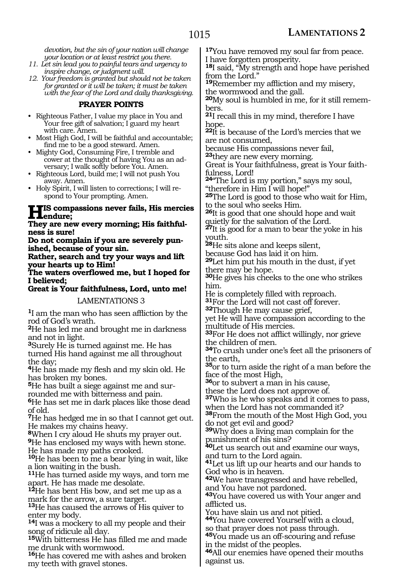*devotion, but the sin of your nation will change your location or at least restrict you there.*

- *11. Let sin lead you to painful tears and urgency to inspire change, or judgment will.*
- *12. Your freedom is granted but should not be taken for granted or it will be taken; it must be taken with the fear of the Lord and daily thanksgiving.*

#### **PRAYER POINTS**

- Righteous Father, I value my place in You and Your free gift of salvation; I guard my heart with care. Amen.
- Most High God, I will be faithful and accountable; find me to be a good steward. Amen.
- Mighty God, Consuming Fire, I tremble and cower at the thought of having You as an adversary; I walk softly before You. Amen.
- Righteous Lord, build me; I will not push You away. Amen.
- Holy Spirit, I will listen to corrections; I will respond to Your prompting. Amen.

## **His compassions never fails, His mercies endure;**

**They are new every morning; His faithfulness is sure!**

**Do not complain if you are severely punished, because of your sin.**

**Rather, search and try your ways and lift your hearts up to Him!**

**The waters overflowed me, but I hoped for I believed;**

**Great is Your faithfulness, Lord, unto me!**

LAMENTATIONS 3

**<sup>1</sup>**I am the man who has seen affliction by the rod of God's wrath.

**<sup>2</sup>**He has led me and brought me in darkness and not in light.

**<sup>3</sup>**Surely He is turned against me. He has turned His hand against me all throughout the day;

**<sup>4</sup>**He has made my flesh and my skin old. He has broken my bones.

**5**He has built a siege against me and sur-

rounded me with bitterness and pain.

**<sup>6</sup>**He has set me in dark places like those dead of old.

**<sup>7</sup>**He has hedged me in so that I cannot get out. He makes my chains heavy.

**<sup>8</sup>**When I cry aloud He shuts my prayer out.

**<sup>9</sup>**He has enclosed my ways with hewn stone. He has made my paths crooked.

**<sup>10</sup>**He has been to me a bear lying in wait, like a lion waiting in the bush.

**<sup>11</sup>**He has turned aside my ways, and torn me apart. He has made me desolate.

**<sup>12</sup>**He has bent His bow, and set me up as a mark for the arrow, a sure target.

**<sup>13</sup>**He has caused the arrows of His quiver to enter my body.

**<sup>14</sup>**I was a mockery to all my people and their song of ridicule all day.

**<sup>15</sup>**With bitterness He has filled me and made me drunk with wormwood.

**<sup>16</sup>**He has covered me with ashes and broken my teeth with gravel stones.

**<sup>17</sup>**You have removed my soul far from peace. I have forgotten prosperity.

**<sup>18</sup>**I said, "My strength and hope have perished from the Lord."

**<sup>19</sup>**Remember my affliction and my misery, the wormwood and the gall.

**20**My soul is humbled in me, for it still remembers.

**<sup>21</sup>**I recall this in my mind, therefore I have hope.

**<sup>22</sup>**It is because of the Lord's mercies that we are not consumed,

because His compassions never fail,

**<sup>23</sup>**they are new every morning.

Great is Your faithfulness, great is Your faithfulness, Lord!

**<sup>24</sup>**"The Lord is my portion," says my soul, "therefore in Him I will hope!"

**<sup>25</sup>**The Lord is good to those who wait for Him, to the soul who seeks Him.

**<sup>26</sup>**It is good that one should hope and wait quietly for the salvation of the Lord.

**<sup>27</sup>**It is good for a man to bear the yoke in his youth.

**<sup>28</sup>**He sits alone and keeps silent,

because God has laid it on him.

**<sup>29</sup>**Let him put his mouth in the dust, if yet there may be hope.

**<sup>30</sup>**He gives his cheeks to the one who strikes him.

He is completely filled with reproach. **<sup>31</sup>**For the Lord will not cast off forever.

**<sup>32</sup>**Though He may cause grief,

yet He will have compassion according to the multitude of His mercies.

**<sup>33</sup>**For He does not afflict willingly, nor grieve the children of men.

**<sup>34</sup>**To crush under one's feet all the prisoners of the earth,

**<sup>35</sup>**or to turn aside the right of a man before the face of the most High,

**<sup>36</sup>**or to subvert a man in his cause,

these the Lord does not approve of.

**<sup>37</sup>**Who is he who speaks and it comes to pass, when the Lord has not commanded it?

**<sup>38</sup>**From the mouth of the Most High God, you do not get evil and good?

**<sup>39</sup>**Why does a living man complain for the punishment of his sins?

**<sup>40</sup>**Let us search out and examine our ways, and turn to the Lord again.

**<sup>41</sup>**Let us lift up our hearts and our hands to God who is in heaven.

**<sup>42</sup>**We have transgressed and have rebelled, and You have not pardoned.

**<sup>43</sup>**You have covered us with Your anger and afflicted us.

You have slain us and not pitied.

**<sup>44</sup>**You have covered Yourself with a cloud, so that prayer does not pass through.

**<sup>45</sup>**You made us an off-scouring and refuse in the midst of the peoples.

**<sup>46</sup>**All our enemies have opened their mouths against us.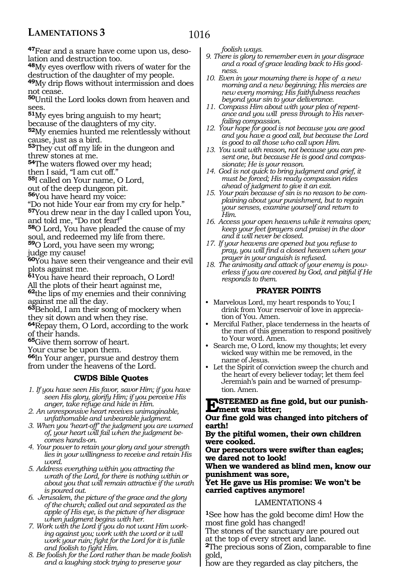# **LAMENTATIONS 3**

# 1016

**47**Fear and a snare have come upon us, desolation and destruction too.

**<sup>48</sup>**My eyes overflow with rivers of water for the destruction of the daughter of my people.

**<sup>49</sup>**My drip flows without intermission and does not cease.

**<sup>50</sup>**Until the Lord looks down from heaven and sees.

**<sup>51</sup>**My eyes bring anguish to my heart;

because of the daughters of my city.

**<sup>52</sup>**My enemies hunted me relentlessly without cause, just as a bird.

**<sup>53</sup>**They cut off my life in the dungeon and threw stones at me.

**<sup>54</sup>**The waters flowed over my head;

then I said, "I am cut off."

**<sup>55</sup>**I called on Your name, O Lord,

out of the deep dungeon pit.

**<sup>56</sup>**You have heard my voice:

"Do not hide Your ear from my cry for help." **<sup>57</sup>**You drew near in the day I called upon You,

and told me, "Do not fear!"

**<sup>58</sup>**O Lord, You have pleaded the cause of my

soul, and redeemed my life from there.

**<sup>59</sup>**O Lord, you have seen my wrong;

judge my cause!

**<sup>60</sup>**You have seen their vengeance and their evil plots against me.

**<sup>61</sup>**You have heard their reproach, O Lord!

All the plots of their heart against me,

**<sup>62</sup>**the lips of my enemies and their conniving against me all the day.

**<sup>63</sup>**Behold, I am their song of mockery when they sit down and when they rise.

**<sup>64</sup>**Repay them, O Lord, according to the work of their hands.

**<sup>65</sup>**Give them sorrow of heart.

Your curse be upon them.

**<sup>66</sup>**In Your anger, pursue and destroy them from under the heavens of the Lord.

### **CWDS Bible Quotes**

*1. If you have seen His favor, savor Him; if you have seen His glory, glorify Him; if you perceive His anger, take refuge and hide in Him.*

*2. An unresponsive heart receives unimaginable, unfathomable and unbearable judgment.*

*3. When you 'heart-off' the judgment you are warned of, your heart will fail when the judgment becomes hands-on.*

*4. Your power to retain your glory and your strength lies in your willingness to receive and retain His word.*

*5. Address everything within you attracting the wrath of the Lord, for there is nothing within or about you that will remain attractive if the wrath is poured out.*

*6. Jerusalem, the picture of the grace and the glory of the church; called out and separated as the apple of His eye, is the picture of her disgrace when judgment begins with her.*

*7. Work with the Lord if you do not want Him working against you; work with the word or it will work your ruin; fight for the Lord for it is futile and foolish to fight Him.*

*8. Be foolish for the Lord rather than be made foolish and a laughing stock trying to preserve your* 

*foolish ways.*

- *9. There is glory to remember even in your disgrace and a road of grace leading back to His goodness.*
- *10. Even in your mourning there is hope of a new morning and a new beginning; His mercies are new every morning; His faithfulness reaches beyond your sin to your deliverance.*
- *11. Compass Him about with your plea of repentance and you will press through to His neverfailing compassion.*
- *12. Your hope for good is not because you are good and you have a good call, but because the Lord is good to all those who call upon Him.*
- *13. You wait with reason, not because you can present one, but because He is good and compassionate; He is your reason.*
- *14. God is not quick to bring judgment and grief, it must be forced; His ready compassion rides ahead of judgment to give it an exit.*
- *15. Your pain because of sin is no reason to be complaining about your punishment, but to regain your senses, examine yourself and return to Him.*
- *16. Access your open heavens while it remains open; keep your feet (prayers and praise) in the door and it will never be closed.*
- *17. If your heavens are opened but you refuse to pray, you will find a closed heaven when your prayer in your anguish is refused.*
- *18. The animosity and attack of your enemy is powerless if you are covered by God, and pitiful if He responds to them.*

#### **PRAYER POINTS**

- Marvelous Lord, my heart responds to You; I drink from Your reservoir of love in appreciation of You. Amen.
- Merciful Father, place tenderness in the hearts of the men of this generation to respond positively to Your word. Amen.
- Search me, O Lord, know my thoughts; let every wicked way within me be removed, in the name of Jesus.
- Let the Spirit of conviction sweep the church and the heart of every believer today; let them feel Jeremiah's pain and be warned of presumption. Amen.

**Esteemed as fine gold, but our punish- ment was bitter;**

**Our fine gold was changed into pitchers of earth!**

**By the pitiful women, their own children were cooked.**

**Our persecutors were swifter than eagles; we dared not to look!**

**When we wandered as blind men, know our punishment was sore,**

**Yet He gave us His promise: We won't be carried captives anymore!**

#### LAMENTATIONS 4

**<sup>1</sup>**See how has the gold become dim! How the most fine gold has changed!

The stones of the sanctuary are poured out at the top of every street and lane.

**<sup>2</sup>**The precious sons of Zion, comparable to fine gold,

how are they regarded as clay pitchers, the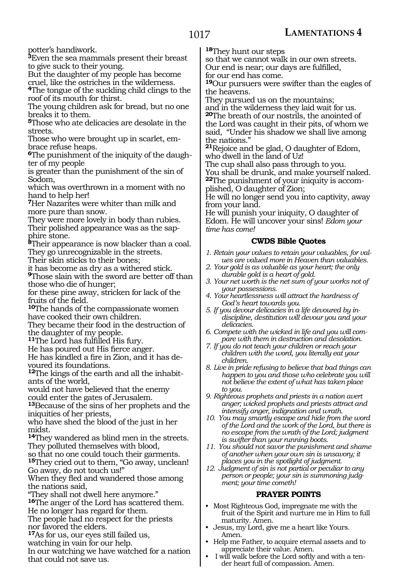potter's handiwork.

**<sup>3</sup>**Even the sea mammals present their breast to give suck to their young.

But the daughter of my people has become cruel, like the ostriches in the wilderness.

**<sup>4</sup>**The tongue of the suckling child clings to the roof of its mouth for thirst.

The young children ask for bread, but no one breaks it to them.

**<sup>5</sup>**Those who ate delicacies are desolate in the streets.

Those who were brought up in scarlet, embrace refuse heaps.

**6**The punishment of the iniquity of the daughter of my people

is greater than the punishment of the sin of Sodom,

which was overthrown in a moment with no hand to help her!

**<sup>7</sup>**Her Nazarites were whiter than milk and more pure than snow.

They were more lovely in body than rubies. Their polished appearance was as the sapphire stone.

**<sup>8</sup>**Their appearance is now blacker than a coal. They go unrecognizable in the streets.

Their skin sticks to their bones;

it has become as dry as a withered stick.

**<sup>9</sup>**Those slain with the sword are better off than those who die of hunger;

for these pine away, stricken for lack of the fruits of the field.

**<sup>10</sup>**The hands of the compassionate women have cooked their own children.

They became their food in the destruction of the daughter of my people.

**<sup>11</sup>**The Lord has fulfilled His fury.

He has poured out His fierce anger.

He has kindled a fire in Zion, and it has de- voured its foundations.

**12**The kings of the earth and all the inhabitants of the world,

would not have believed that the enemy could enter the gates of Jerusalem.

**<sup>13</sup>**Because of the sins of her prophets and the iniquities of her priests,

who have shed the blood of the just in her midst.

**<sup>14</sup>**They wandered as blind men in the streets. They polluted themselves with blood,

so that no one could touch their garments.

**<sup>15</sup>**They cried out to them, "Go away, unclean! Go away, do not touch us!"

When they fled and wandered those among the nations said,

"They shall not dwell here anymore."

**<sup>16</sup>**The anger of the Lord has scattered them. He no longer has regard for them.

The people had no respect for the priests nor favored the elders.

**<sup>17</sup>**As for us, our eyes still failed us,

watching in vain for our help.

In our watching we have watched for a nation that could not save us.

**<sup>18</sup>**They hunt our steps

so that we cannot walk in our own streets. Our end is near; our days are fulfilled, for our end has come.

**<sup>19</sup>**Our pursuers were swifter than the eagles of the heavens.

They pursued us on the mountains; and in the wilderness they laid wait for us. **<sup>20</sup>**The breath of our nostrils, the anointed of the Lord was caught in their pits, of whom we said, "Under his shadow we shall live among the nations."

**<sup>21</sup>**Rejoice and be glad, O daughter of Edom, who dwell in the land of Uz!

The cup shall also pass through to you. You shall be drunk, and make yourself naked. **22**The punishment of your iniquity is accomplished, O daughter of Zion;

He will no longer send you into captivity, away from your land.

He will punish your iniquity, O daughter of Edom. He will uncover your sins! *Edom your time has come!*

## **CWDS Bible Quotes**

- *1. Retain your values to retain your valuables, for values are valued more in Heaven than valuables.*
- *2. Your gold is as valuable as your heart; the only durable gold is a heart of gold.*
- *3. Your net worth is the net sum of your works not of your possessions.*
- *4. Your heartlessness will attract the hardness of God's heart towards you.*
- *5. If you devour delicacies in a life devoured by indiscipline, destitution will devour you and your delicacies.*
- *6. Compete with the wicked in life and you will compare with them in destruction and desolation.*
- *7. If you do not teach your children or reach your children with the word, you literally eat your children.*
- *8. Live in pride refusing to believe that bad things can happen to you and those who celebrate you will not believe the extent of what has taken place to you.*
- *9. Righteous prophets and priests in a nation avert anger; wicked prophets and priests attract and intensify anger, indignation and wrath.*
- *10. You may smartly escape and hide from the word of the Lord and the work of the Lord, but there is no escape from the wrath of the Lord; judgment is swifter than your running boots.*
- *11. You should not savor the punishment and shame of another when your own sin is unsavory; it places you in the spotlight of judgment.*
- *12. Judgment of sin is not partial or peculiar to any person or people; your sin is summoning judgment; your time cometh!*

### **PRAYER POINTS**

- Most Righteous God, impregnate me with the fruit of the Spirit and nurture me in Him to full maturity. Amen.
- Jesus, my Lord, give me a heart like Yours. Amen.
- Help me Father, to acquire eternal assets and to appreciate their value. Amen.
- I will walk before the Lord softly and with a tender heart full of compassion. Amen.